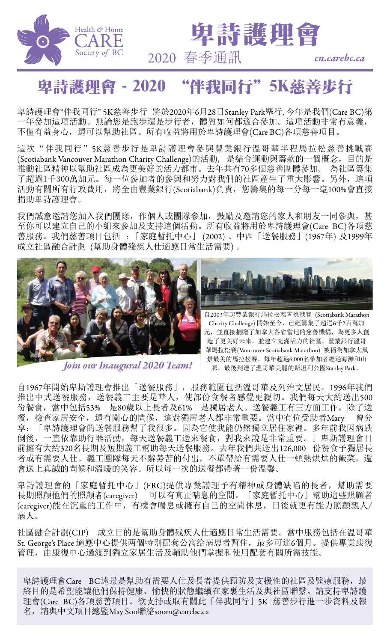



# 卑詩護理會-2020 "伴我同行"5K慈善步行

卑詩護理會"伴我同行" 5K慈善步行 將於2020年6月28日Stanley Park舉行, 今年是我們(Care BC)第 一年參加這項活動。無論您是跑步還是步行者,體質如何都適合參加。這項活動非常有意義, 不僅有益身心,還可以幫助社區。所有收益將用於卑詩護理會(Care BC)各項慈善項目。

這次"伴我同行"5K慈善步行是卑詩護理會參與豐業銀行溫哥華半程馬拉松慈善挑戰賽 (Scotiabank Vancouver Marathon Charity Challenge)的活動, 是結合運動與籌款的一個概念,目的是 推動社區精神以幫助社區成為更美好的活力都市。去年共有70多個慈善團體參加, 為社區籌集 了超過1千300萬加元。每一位參加者的參與和努力對我們的社區產生了重大影響。另外,這項 活動有關所有行政費用,將全由豐業銀行(Scotiabank)負責,您籌集的每一分每一毫100%會直接 捐助卑詩護理會。

我們誠意邀請您加入我們團隊,作個人或團隊參加,鼓勵及邀請您的家人和朋友一同參與,甚 至你可以建立自己的小組來參加及支持這個活動。所有收益將用於卑詩護理會(Care BC)各項慈 善服務。我們慈善項目包括 : 「家庭暫托中心」 (2002) 、中西「送餐服務」(1967年) 及1999年 成立社區融合計劃 (幫助身體殘疾人仕適應日常生活需要) 。



Join our Inaugural 2020 Team!



自2003年起豐業銀行馬拉松慈善挑戰賽 (Scotiabank Marathon Charity Challenge) 開始至今,已經籌集了超過6千2百萬加 元,並直接捐贈了加拿大各省當地的慈善機構,為更多人創 造了更美好未來,並建立充滿活力的社區。豐業銀行溫哥 華馬拉松賽(Vancouver Scotiabank Marathon) 被稱為加拿大風 景最美的馬拉松賽。每年超過6,000名參加者經過海灘和山 脈,最後到達了溫哥華美麗的斯坦利公園Stanley Park。

自1967年開始卑斯護理會推出「送餐服務」,服務範圍包括溫哥華及列治文居民。1996年我們 推出中式送餐服務,送餐義工主要是華人,使部份食餐者感覺更親切。我們每天大約送出500 份餐食,當中包括53% 是80歲以上長者及61% 是獨居老人。送餐義工有三方面工作,除了送 餐, 檢查家居安全, 還有關心的問候, 這對獨居老人都非常重要。當中有位受助者Mary 享:「卑詩護理會的送餐服務幫了我很多。因為它使我能仍然獨立居住家裡。多年前我因病跌 倒後,一直依靠助行器活動,每天送餐義工送來餐食,對我來說是非常重要。」卑斯護理會目 前擁有大約320名長期及短期義工幫助每天送餐服務。去年我們共送出126,000 份餐食予獨居長 者或有需要人仕。義工團隊每天不辭勞苦的付出,不單帶給有需要人仕一頓熱烘烘的飯菜,還 會送上真誠的問候和溫暖的笑容。所以每一次的送餐都帶著一份溫馨。

卑詩護理會的「家庭暫托中心」(FRC)提供專業護理予有精神或身體缺陷的長者,幫助需要 長期照顧他們的照顧者(caregiver) 可以有真正喘息的空間。「家庭暫托中心」幫助這些照顧者 (caregiver)能在沉重的工作中,有機會喘息或擁有自己的空間休息,日後就更有能力照顧親人/ 病人。

社區融合計劃(CIP) 成立目的是幫助身體残疾人仕適應日常生活需要。當中服務包括在温哥華 St. George's Place 適應中心提供两個特别配套公寓给病患者暫住,最多可達6個月。提供專業康復 管理,由康復中心過渡到獨立家居生活及輔助他們掌握和使用配套有關所需技能。

卑詩護理會Care BC遠景是幫助有需要人仕及長者提供預防及支援性的社區及醫療服務,最 終目的是希望能讓他們保持健康、愉快的狀態繼續在家裏生活及與社區聯繫。請支持卑詩護 理會(Care BC)各項慈善項目。欲支持或取有關此「伴我同行」5K 慈善步行進一步資料及報 名,請與中文項目總監May Soo聯絡[soom@carebc.ca](mailto:soom%40carebc.ca?subject=)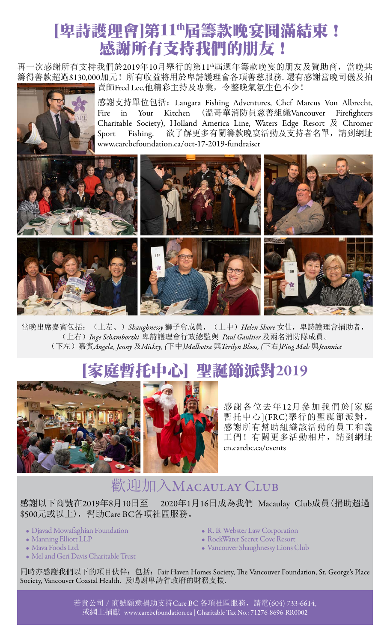## [卑詩護理會]第11th屆籌款晚宴圓滿結束! 感謝所有支持我們的朋友!

再一次感謝所有支持我們於2019年10月舉行的第11也屆週年籌款晚宴的朋友及贊助商,當晚共 籌得善款超過\$130,000加元!所有收益將用於卑詩護理會各項善慈服務.還有感謝當晚司儀及拍 賣師Fred Lee,他精彩主持及專業,令整晚氣氛生色不少!



當晚出席嘉賓包括: (上左、) Shaughnessy 獅子會成員, (上中) Helen Shore 女仕, 卑詩護理會捐助者, (上右)*Inge Schamborzki* 卑詩護理會行政總監與 *Paul Gaultier* 及兩名消防隊成員。 (下左)嘉賓*Angela, Jenny* 及*Mickey, (*下中*)Malhotra* 與*Terilyn Bloos, (*下右*)Ping Mah* 與*Jeannice*

# [家庭暫托中心] 聖誕節派對2019



感謝各位去年12月參加我們於[家庭 暫托中心](FRC)舉行的聖誕節派對, 感謝所有幫助組織該活動的員工和義 工們!有關更多活動相片,請到網址 [cn.carebc.ca/events](https://cn.carebc.ca/events.html) 

## 歡迎加入MACAULAY CLUB

感謝以下商號在2019年8月10日至 2020年1月16日成為我們 Macaulay Club成員(捐助超過 \$500元或以上),幫助Care BC各項社區服務。

- Djavad Mowafaghian Foundation
- Manning Elliott LLP
- Mava Foods Ltd.
- Mel and Geri Davis Charitable Trust
- R. B. Webster Law Corporation
- RockWater Secret Cove Resort
- Vancouver Shaughnessy Lions Club

同時亦感謝我們以下的項目伙伴: 包括: Fair Haven Homes Society, The Vancouver Foundation, St. George's Place Society, Vancouver Coastal Health. 及鳴謝卑詩省政府的財務支援.

> 若貴公司 / 商號願意捐助支持Care BC 各項社區服務, 請電(604) 733-6614, 或網上捐獻 [www.carebcfoundation.ca](https://www.carebcfoundation.ca/) | Charitable Tax No.: 71276-8696-RR0002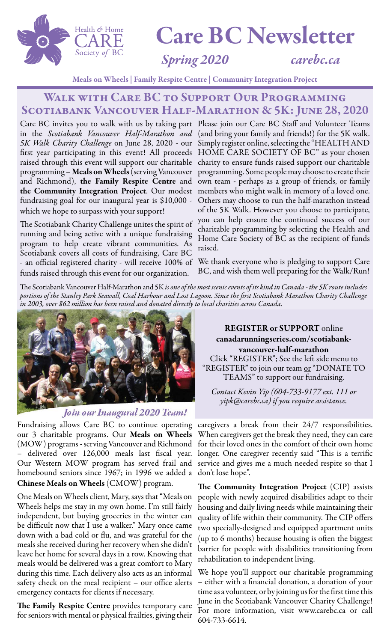

# Care BC Newsletter

*Spring 2020 carebc.ca*

Meals on Wheels | Family Respite Centre | Community Integration Project

### Walk with Care BC to Support Our Programming Scotiabank Vancouver Half-Marathon & 5K: June 28, 2020

Care BC invites you to walk with us by taking part Please join our Care BC Staff and Volunteer Teams in the *Scotiabank Vancouver Half-Marathon and 5K Walk Charity Challenge* on June 28, 2020 - our first year participating in this event! All proceeds raised through this event will support our charitable programming – Meals on Wheels (serving Vancouver and Richmond), the Family Respite Centre and the Community Integration Project. Our modest fundraising goal for our inaugural year is \$10,000 which we hope to surpass with your support!

The Scotiabank Charity Challenge unites the spirit of running and being active with a unique fundraising program to help create vibrant communities. As Scotiabank covers all costs of fundraising, Care BC - an official registered charity - will receive 100% of funds raised through this event for our organization.

(and bring your family and friends!) for the 5K walk. Simply register online, selecting the "HEALTH AND HOME CARE SOCIETY OF BC" as your chosen charity to ensure funds raised support our charitable programming. Some people may choose to create their own team - perhaps as a group of friends, or family members who might walk in memory of a loved one. Others may choose to run the half-marathon instead of the 5K Walk. However you choose to participate, you can help ensure the continued success of our charitable programming by selecting the Health and Home Care Society of BC as the recipient of funds raised.

We thank everyone who is pledging to support Care BC, and wish them well preparing for the Walk/Run!

The Scotiabank Vancouver Half-Marathon and 5K *is one of the most scenic events of its kind in Canada - the 5K route includes portions of the Stanley Park Seawall, Coal Harbour and Lost Lagoon. Since the first Scotiabank Marathon Charity Challenge in 2003, over \$62 million has been raised and donated directly to local charities across Canada.*



Join our Inaugural 2020 Team!

our 3 charitable programs. Our Meals on Wheels (MOW) programs - serving Vancouver and Richmond – delivered over 126,000 meals last fiscal year. Our Western MOW program has served frail and homebound seniors since 1967; in 1996 we added a Chinese Meals on Wheels (CMOW) program.

One Meals on Wheels client, Mary, says that "Meals on Wheels helps me stay in my own home. I'm still fairly independent, but buying groceries in the winter can be difficult now that I use a walker." Mary once came down with a bad cold or flu, and was grateful for the meals she received during her recovery when she didn't leave her home for several days in a row. Knowing that meals would be delivered was a great comfort to Mary during this time. Each delivery also acts as an informal safety check on the meal recipient – our office alerts emergency contacts for clients if necessary.

The Family Respite Centre provides temporary care for seniors with mental or physical frailties, giving their

**[REGISTER or SUPPORT](https://canadarunningseries.com/scotiabank-vancouver-half-marathon/)** online [canadarunningseries.com/scotiabank](https://canadarunningseries.com/scotiabank-vancouver-half-marathon/)[vancouver-half-marathon](https://canadarunningseries.com/scotiabank-vancouver-half-marathon/) Click "REGISTER"; See the left side menu to "REGISTER" to join our team or "DONATE TO TEAMS" to support our fundraising.

*Contact Kevin Yip (604-733-9177 ext. 111 or [yipk@carebc.ca\)](mailto:yipk%40carebc.ca?subject=) if you require assistance.*

Fundraising allows Care BC to continue operating caregivers a break from their 24/7 responsibilities. When caregivers get the break they need, they can care for their loved ones in the comfort of their own home longer. One caregiver recently said "This is a terrific service and gives me a much needed respite so that I don't lose hope".

> The Community Integration Project (CIP) assists people with newly acquired disabilities adapt to their housing and daily living needs while maintaining their quality of life within their community. The CIP offers two specially-designed and equipped apartment units (up to 6 months) because housing is often the biggest barrier for people with disabilities transitioning from rehabilitation to independent living.

> We hope you'll support our charitable programming – either with a financial donation, a donation of your time as a volunteer, or by joining us for the first time this June in the Scotiabank Vancouver Charity Challenge! For more information, visit [www.carebc.ca](https://www.carebc.ca/) or call 604-733-6614.